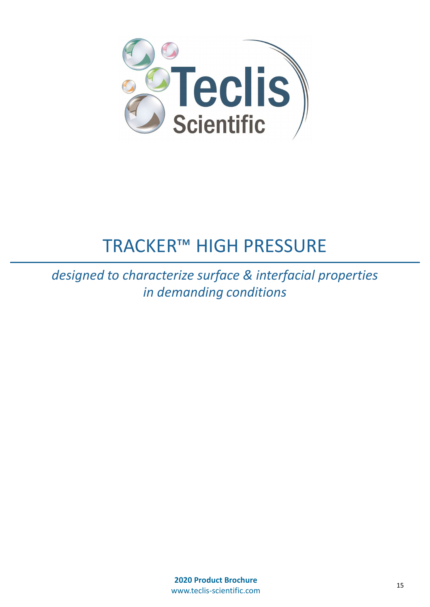

## TRACKER™ HIGH PRESSURE

designed to characterize surface & interfacial properties in demanding conditions